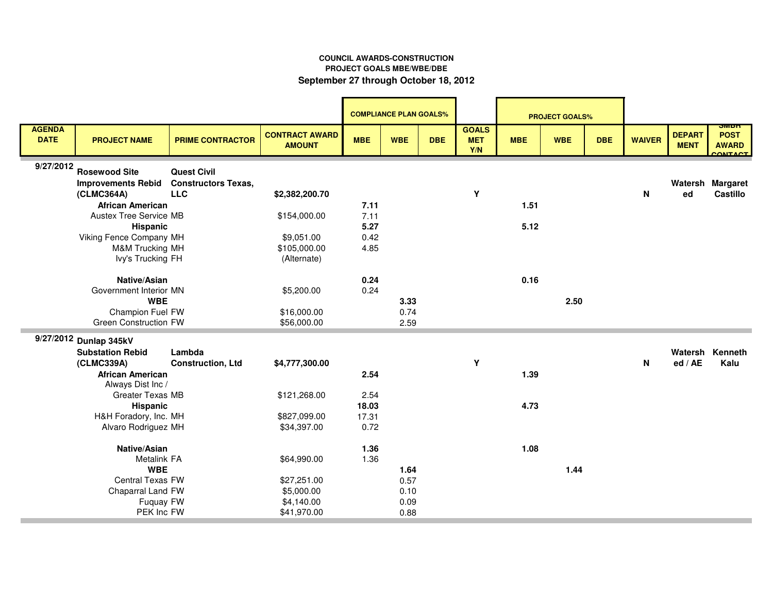# **COUNCIL AWARDS-CONSTRUCTION PROJECT GOALS MBE/WBE/DBESeptember 27 through October 18, 2012**

|                               |                                         |                                          |                                        |                | <b>COMPLIANCE PLAN GOALS%</b> |            |                                   |            | <b>PROJECT GOALS%</b> |            |               |                              |                                                          |
|-------------------------------|-----------------------------------------|------------------------------------------|----------------------------------------|----------------|-------------------------------|------------|-----------------------------------|------------|-----------------------|------------|---------------|------------------------------|----------------------------------------------------------|
| <b>AGENDA</b><br><b>DATE</b>  | <b>PROJECT NAME</b>                     | <b>PRIME CONTRACTOR</b>                  | <b>CONTRACT AWARD</b><br><b>AMOUNT</b> | <b>MBE</b>     | <b>WBE</b>                    | <b>DBE</b> | <b>GOALS</b><br><b>MET</b><br>Y/N | <b>MBE</b> | <b>WBE</b>            | <b>DBE</b> | <b>WAIVER</b> | <b>DEPART</b><br><b>MENT</b> | ווטוויט<br><b>POST</b><br><b>AWARD</b><br><b>CALTACT</b> |
| 9/27/2012                     |                                         |                                          |                                        |                |                               |            |                                   |            |                       |            |               |                              |                                                          |
|                               | <b>Rosewood Site</b>                    | <b>Quest Civil</b>                       |                                        |                |                               |            |                                   |            |                       |            |               |                              |                                                          |
|                               | <b>Improvements Rebid</b><br>(CLMC364A) | <b>Constructors Texas,</b><br><b>LLC</b> | \$2,382,200.70                         |                |                               |            | Y                                 |            |                       |            | N             | ed                           | Watersh Margaret<br><b>Castillo</b>                      |
|                               | <b>African American</b>                 |                                          |                                        | 7.11           |                               |            |                                   | 1.51       |                       |            |               |                              |                                                          |
| <b>Austex Tree Service MB</b> |                                         | \$154,000.00                             | 7.11                                   |                |                               |            |                                   |            |                       |            |               |                              |                                                          |
| Hispanic                      |                                         |                                          | 5.27                                   |                |                               |            | 5.12                              |            |                       |            |               |                              |                                                          |
| Viking Fence Company MH       |                                         | \$9,051.00                               | 0.42                                   |                |                               |            |                                   |            |                       |            |               |                              |                                                          |
|                               | M&M Trucking MH                         |                                          | \$105,000.00                           | 4.85           |                               |            |                                   |            |                       |            |               |                              |                                                          |
| Ivy's Trucking FH             |                                         | (Alternate)                              |                                        |                |                               |            |                                   |            |                       |            |               |                              |                                                          |
|                               |                                         |                                          |                                        |                |                               |            |                                   |            |                       |            |               |                              |                                                          |
|                               | Native/Asian                            |                                          |                                        | 0.24           |                               |            |                                   | 0.16       |                       |            |               |                              |                                                          |
|                               | Government Interior MN                  |                                          | \$5,200.00                             | 0.24           |                               |            |                                   |            |                       |            |               |                              |                                                          |
|                               | <b>WBE</b>                              |                                          |                                        |                | 3.33                          |            |                                   |            | 2.50                  |            |               |                              |                                                          |
|                               | Champion Fuel FW                        |                                          | \$16,000.00                            |                | 0.74                          |            |                                   |            |                       |            |               |                              |                                                          |
|                               | <b>Green Construction FW</b>            |                                          | \$56,000.00                            |                | 2.59                          |            |                                   |            |                       |            |               |                              |                                                          |
|                               | 9/27/2012 Dunlap 345kV                  |                                          |                                        |                |                               |            |                                   |            |                       |            |               |                              |                                                          |
|                               | <b>Substation Rebid</b>                 | Lambda                                   |                                        |                |                               |            |                                   |            |                       |            |               |                              | Watersh Kenneth                                          |
|                               | (CLMC339A)                              | <b>Construction, Ltd</b>                 | \$4,777,300.00                         |                |                               |            | Y                                 |            |                       |            | N             | ed / AE                      | Kalu                                                     |
|                               | <b>African American</b>                 |                                          |                                        | 2.54           |                               |            |                                   | 1.39       |                       |            |               |                              |                                                          |
|                               | Always Dist Inc /                       |                                          |                                        |                |                               |            |                                   |            |                       |            |               |                              |                                                          |
|                               | Greater Texas MB                        |                                          | \$121,268.00                           | 2.54           |                               |            |                                   |            |                       |            |               |                              |                                                          |
|                               | Hispanic<br>H&H Foradory, Inc. MH       |                                          |                                        | 18.03<br>17.31 |                               |            |                                   | 4.73       |                       |            |               |                              |                                                          |
|                               | Alvaro Rodriguez MH                     |                                          | \$827,099.00<br>\$34,397.00            | 0.72           |                               |            |                                   |            |                       |            |               |                              |                                                          |
|                               |                                         |                                          |                                        |                |                               |            |                                   |            |                       |            |               |                              |                                                          |
|                               | Native/Asian                            |                                          |                                        | 1.36           |                               |            |                                   | 1.08       |                       |            |               |                              |                                                          |
|                               | Metalink FA                             |                                          | \$64,990.00                            | 1.36           |                               |            |                                   |            |                       |            |               |                              |                                                          |
|                               | <b>WBE</b>                              |                                          |                                        |                | 1.64                          |            |                                   |            | 1.44                  |            |               |                              |                                                          |
|                               | <b>Central Texas FW</b>                 |                                          | \$27,251.00                            |                | 0.57                          |            |                                   |            |                       |            |               |                              |                                                          |
|                               | Chaparral Land FW                       |                                          | \$5,000.00                             |                | 0.10                          |            |                                   |            |                       |            |               |                              |                                                          |
|                               | Fuquay FW                               |                                          | \$4,140.00                             |                | 0.09                          |            |                                   |            |                       |            |               |                              |                                                          |
|                               | PEK Inc FW                              |                                          | \$41,970.00                            |                | 0.88                          |            |                                   |            |                       |            |               |                              |                                                          |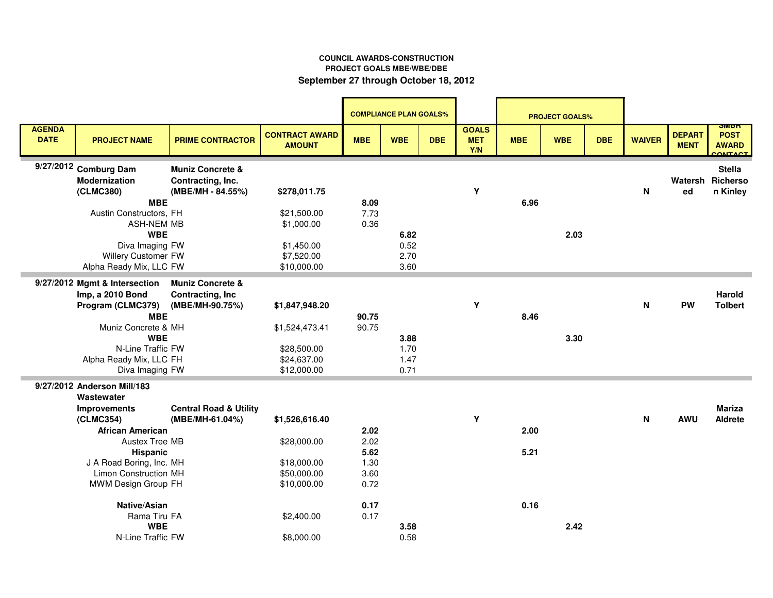# **COUNCIL AWARDS-CONSTRUCTION PROJECT GOALS MBE/WBE/DBESeptember 27 through October 18, 2012**

|                                           |                               |                                   |                                        |            | <b>COMPLIANCE PLAN GOALS%</b> |            |                                   | <b>PROJECT GOALS%</b> |            |            |               |                              |                                                           |
|-------------------------------------------|-------------------------------|-----------------------------------|----------------------------------------|------------|-------------------------------|------------|-----------------------------------|-----------------------|------------|------------|---------------|------------------------------|-----------------------------------------------------------|
| <b>AGENDA</b><br><b>DATE</b>              | <b>PROJECT NAME</b>           | <b>PRIME CONTRACTOR</b>           | <b>CONTRACT AWARD</b><br><b>AMOUNT</b> | <b>MBE</b> | <b>WBE</b>                    | <b>DBE</b> | <b>GOALS</b><br><b>MET</b><br>Y/N | <b>MBE</b>            | <b>WBE</b> | <b>DBE</b> | <b>WAIVER</b> | <b>DEPART</b><br><b>MENT</b> | ,,,,,,,,<br><b>POST</b><br><b>AWARD</b><br><b>ONITACT</b> |
|                                           | 9/27/2012 Comburg Dam         | <b>Muniz Concrete &amp;</b>       |                                        |            |                               |            |                                   |                       |            |            |               |                              | <b>Stella</b>                                             |
| <b>Modernization</b><br>Contracting, Inc. |                               |                                   |                                        |            |                               |            |                                   |                       |            |            |               | Watersh Richerso             |                                                           |
|                                           | (CLMC380)                     | (MBE/MH - 84.55%)                 | \$278,011.75                           |            |                               |            | Y                                 |                       |            |            | N             | ed                           | n Kinley                                                  |
|                                           | <b>MBE</b>                    |                                   |                                        | 8.09       |                               |            |                                   | 6.96                  |            |            |               |                              |                                                           |
| Austin Constructors, FH                   |                               | \$21,500.00                       | 7.73                                   |            |                               |            |                                   |                       |            |            |               |                              |                                                           |
|                                           | <b>ASH-NEM MB</b>             |                                   | \$1,000.00                             | 0.36       |                               |            |                                   |                       |            |            |               |                              |                                                           |
| <b>WBE</b>                                |                               |                                   |                                        | 6.82       |                               |            |                                   | 2.03                  |            |            |               |                              |                                                           |
|                                           | Diva Imaging FW               |                                   | \$1,450.00                             |            | 0.52                          |            |                                   |                       |            |            |               |                              |                                                           |
|                                           | <b>Willery Customer FW</b>    |                                   | \$7,520.00                             |            | 2.70                          |            |                                   |                       |            |            |               |                              |                                                           |
|                                           | Alpha Ready Mix, LLC FW       |                                   | \$10,000.00                            |            | 3.60                          |            |                                   |                       |            |            |               |                              |                                                           |
|                                           | 9/27/2012 Mgmt & Intersection | <b>Muniz Concrete &amp;</b>       |                                        |            |                               |            |                                   |                       |            |            |               |                              |                                                           |
|                                           | Imp, a 2010 Bond              | Contracting, Inc.                 |                                        |            |                               |            |                                   |                       |            |            |               |                              | Harold                                                    |
|                                           | Program (CLMC379)             | (MBE/MH-90.75%)                   | \$1,847,948.20                         |            |                               |            | Y                                 |                       |            |            | N             | <b>PW</b>                    | <b>Tolbert</b>                                            |
| <b>MBE</b>                                |                               |                                   | 90.75                                  |            |                               |            | 8.46                              |                       |            |            |               |                              |                                                           |
|                                           | Muniz Concrete & MH           |                                   | \$1,524,473.41                         | 90.75      |                               |            |                                   |                       |            |            |               |                              |                                                           |
|                                           | <b>WBE</b>                    |                                   |                                        |            | 3.88                          |            |                                   |                       | 3.30       |            |               |                              |                                                           |
|                                           | N-Line Traffic FW             |                                   | \$28,500.00                            |            | 1.70                          |            |                                   |                       |            |            |               |                              |                                                           |
|                                           | Alpha Ready Mix, LLC FH       |                                   | \$24,637.00                            |            | 1.47                          |            |                                   |                       |            |            |               |                              |                                                           |
|                                           | Diva Imaging FW               |                                   | \$12,000.00                            |            | 0.71                          |            |                                   |                       |            |            |               |                              |                                                           |
|                                           | 9/27/2012 Anderson Mill/183   |                                   |                                        |            |                               |            |                                   |                       |            |            |               |                              |                                                           |
|                                           | Wastewater                    |                                   |                                        |            |                               |            |                                   |                       |            |            |               |                              |                                                           |
|                                           | <b>Improvements</b>           | <b>Central Road &amp; Utility</b> |                                        |            |                               |            |                                   |                       |            |            |               |                              | <b>Mariza</b>                                             |
|                                           | (CLMC354)                     | (MBE/MH-61.04%)                   | \$1,526,616.40                         |            |                               |            | Υ                                 |                       |            |            | N             | <b>AWU</b>                   | Aldrete                                                   |
|                                           | <b>African American</b>       |                                   |                                        | 2.02       |                               |            |                                   | 2.00                  |            |            |               |                              |                                                           |
|                                           | Austex Tree MB                |                                   | \$28,000.00                            | 2.02       |                               |            |                                   |                       |            |            |               |                              |                                                           |
|                                           | <b>Hispanic</b>               |                                   |                                        | 5.62       |                               |            |                                   | 5.21                  |            |            |               |                              |                                                           |
|                                           | J A Road Boring, Inc. MH      |                                   | \$18,000.00                            | 1.30       |                               |            |                                   |                       |            |            |               |                              |                                                           |
|                                           | <b>Limon Construction MH</b>  |                                   | \$50,000.00                            | 3.60       |                               |            |                                   |                       |            |            |               |                              |                                                           |
|                                           | MWM Design Group FH           |                                   | \$10,000.00                            | 0.72       |                               |            |                                   |                       |            |            |               |                              |                                                           |
|                                           |                               |                                   |                                        | 0.17       |                               |            |                                   | 0.16                  |            |            |               |                              |                                                           |
|                                           | Native/Asian<br>Rama Tiru FA  |                                   | \$2,400.00                             | 0.17       |                               |            |                                   |                       |            |            |               |                              |                                                           |
|                                           | <b>WBE</b>                    |                                   |                                        |            | 3.58                          |            |                                   |                       | 2.42       |            |               |                              |                                                           |
|                                           | N-Line Traffic FW             |                                   | \$8,000.00                             |            | 0.58                          |            |                                   |                       |            |            |               |                              |                                                           |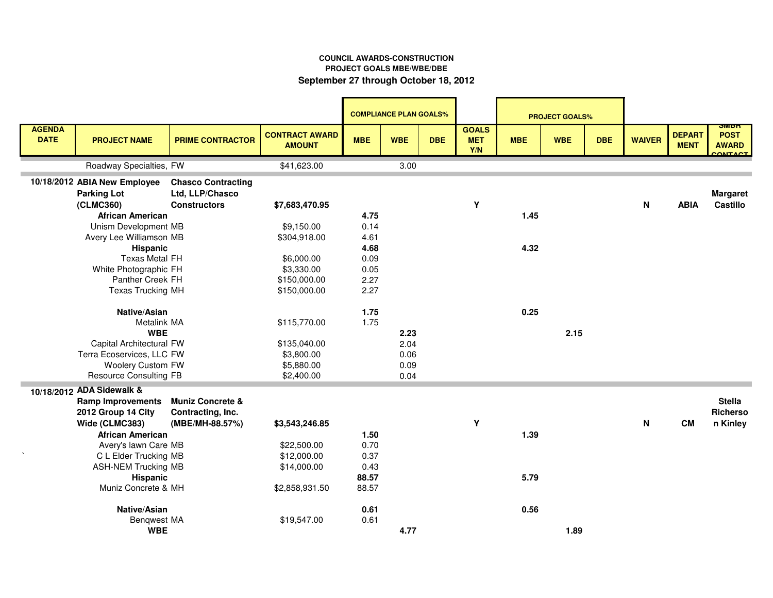# **PROJECT GOALS MBE/WBE/DBE September 27 through October 18, 2012COUNCIL AWARDS-CONSTRUCTION**

|                              |                               |                             |                                        |            | <b>COMPLIANCE PLAN GOALS%</b> |            |                                   |            | <b>PROJECT GOALS%</b> |            |               |                              |                                               |
|------------------------------|-------------------------------|-----------------------------|----------------------------------------|------------|-------------------------------|------------|-----------------------------------|------------|-----------------------|------------|---------------|------------------------------|-----------------------------------------------|
| <b>AGENDA</b><br><b>DATE</b> | <b>PROJECT NAME</b>           | <b>PRIME CONTRACTOR</b>     | <b>CONTRACT AWARD</b><br><b>AMOUNT</b> | <b>MBE</b> | <b>WBE</b>                    | <b>DBE</b> | <b>GOALS</b><br><b>MET</b><br>Y/N | <b>MBE</b> | <b>WBE</b>            | <b>DBE</b> | <b>WAIVER</b> | <b>DEPART</b><br><b>MENT</b> | <b>POST</b><br><b>AWARD</b><br><b>ONITACT</b> |
|                              | Roadway Specialties, FW       |                             | \$41,623.00                            |            | 3.00                          |            |                                   |            |                       |            |               |                              |                                               |
|                              | 10/18/2012 ABIA New Employee  | <b>Chasco Contracting</b>   |                                        |            |                               |            |                                   |            |                       |            |               |                              |                                               |
|                              | <b>Parking Lot</b>            | Ltd, LLP/Chasco             |                                        |            |                               |            |                                   |            |                       |            |               |                              | <b>Margaret</b>                               |
|                              | (CLMC360)                     | <b>Constructors</b>         | \$7,683,470.95                         |            |                               |            | Y                                 |            |                       |            | N             | <b>ABIA</b>                  | Castillo                                      |
|                              | <b>African American</b>       |                             |                                        | 4.75       |                               |            |                                   | 1.45       |                       |            |               |                              |                                               |
| Unism Development MB         |                               | \$9,150.00                  | 0.14                                   |            |                               |            |                                   |            |                       |            |               |                              |                                               |
| Avery Lee Williamson MB      |                               |                             | \$304,918.00                           | 4.61       |                               |            |                                   |            |                       |            |               |                              |                                               |
| Hispanic                     |                               |                             |                                        | 4.68       |                               |            |                                   | 4.32       |                       |            |               |                              |                                               |
|                              | <b>Texas Metal FH</b>         |                             | \$6,000.00                             | 0.09       |                               |            |                                   |            |                       |            |               |                              |                                               |
|                              | White Photographic FH         |                             | \$3,330.00                             | 0.05       |                               |            |                                   |            |                       |            |               |                              |                                               |
|                              | Panther Creek FH              |                             | \$150,000.00                           | 2.27       |                               |            |                                   |            |                       |            |               |                              |                                               |
|                              | <b>Texas Trucking MH</b>      |                             | \$150,000.00                           | 2.27       |                               |            |                                   |            |                       |            |               |                              |                                               |
|                              | Native/Asian                  |                             |                                        | 1.75       |                               |            |                                   | 0.25       |                       |            |               |                              |                                               |
|                              | Metalink MA                   |                             | \$115,770.00                           | 1.75       |                               |            |                                   |            |                       |            |               |                              |                                               |
|                              | <b>WBE</b>                    |                             |                                        |            | 2.23                          |            |                                   |            | 2.15                  |            |               |                              |                                               |
|                              | Capital Architectural FW      |                             | \$135,040.00                           |            | 2.04                          |            |                                   |            |                       |            |               |                              |                                               |
|                              | Terra Ecoservices, LLC FW     |                             | \$3,800.00                             |            | 0.06                          |            |                                   |            |                       |            |               |                              |                                               |
|                              | <b>Woolery Custom FW</b>      |                             | \$5,880.00                             |            | 0.09                          |            |                                   |            |                       |            |               |                              |                                               |
|                              | <b>Resource Consulting FB</b> |                             | \$2,400.00                             |            | 0.04                          |            |                                   |            |                       |            |               |                              |                                               |
|                              | 10/18/2012 ADA Sidewalk &     |                             |                                        |            |                               |            |                                   |            |                       |            |               |                              |                                               |
|                              | <b>Ramp Improvements</b>      | <b>Muniz Concrete &amp;</b> |                                        |            |                               |            |                                   |            |                       |            |               |                              | <b>Stella</b>                                 |
|                              | 2012 Group 14 City            | Contracting, Inc.           |                                        |            |                               |            |                                   |            |                       |            |               |                              | Richerso                                      |
|                              | Wide (CLMC383)                | (MBE/MH-88.57%)             | \$3,543,246.85                         |            |                               |            | Y                                 |            |                       |            | N             | <b>CM</b>                    | n Kinley                                      |
|                              | <b>African American</b>       |                             |                                        | 1.50       |                               |            |                                   | 1.39       |                       |            |               |                              |                                               |
|                              | Avery's lawn Care MB          |                             | \$22,500.00                            | 0.70       |                               |            |                                   |            |                       |            |               |                              |                                               |
|                              | C L Elder Trucking MB         |                             | \$12,000.00                            | 0.37       |                               |            |                                   |            |                       |            |               |                              |                                               |
|                              | <b>ASH-NEM Trucking MB</b>    |                             | \$14,000.00                            | 0.43       |                               |            |                                   |            |                       |            |               |                              |                                               |
|                              | Hispanic                      |                             |                                        | 88.57      |                               |            |                                   | 5.79       |                       |            |               |                              |                                               |
| Muniz Concrete & MH          |                               | \$2,858,931.50              | 88.57                                  |            |                               |            |                                   |            |                       |            |               |                              |                                               |
| Native/Asian                 |                               | \$19,547.00                 | 0.61                                   |            |                               |            | 0.56                              |            |                       |            |               |                              |                                               |
|                              | Benqwest MA                   |                             |                                        | 0.61       |                               |            |                                   |            |                       |            |               |                              |                                               |
|                              | <b>WBE</b>                    |                             |                                        | 4.77       |                               |            |                                   | 1.89       |                       |            |               |                              |                                               |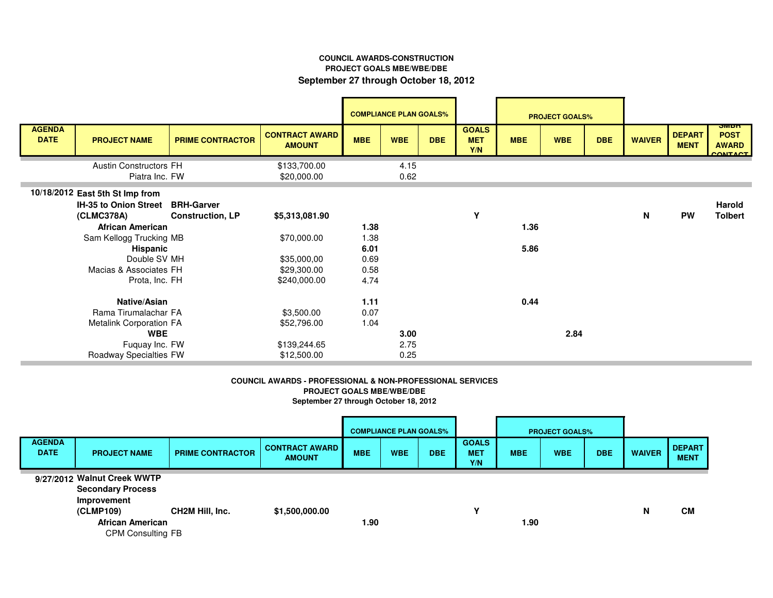# **September 27 through October 18, 2012 COUNCIL AWARDS-CONSTRUCTIONPROJECT GOALS MBE/WBE/DBE**

|                              |                                                                                                                                                                                                      |                                              |                                                                             | <b>COMPLIANCE PLAN GOALS%</b>                |                      |            |                                   | <b>PROJECT GOALS%</b> |            |            |               |                              |                                                       |
|------------------------------|------------------------------------------------------------------------------------------------------------------------------------------------------------------------------------------------------|----------------------------------------------|-----------------------------------------------------------------------------|----------------------------------------------|----------------------|------------|-----------------------------------|-----------------------|------------|------------|---------------|------------------------------|-------------------------------------------------------|
| <b>AGENDA</b><br><b>DATE</b> | <b>PROJECT NAME</b>                                                                                                                                                                                  | <b>PRIME CONTRACTOR</b>                      | <b>CONTRACT AWARD</b><br><b>AMOUNT</b>                                      | <b>MBE</b>                                   | <b>WBE</b>           | <b>DBE</b> | <b>GOALS</b><br><b>MET</b><br>Y/N | <b>MBE</b>            | <b>WBE</b> | <b>DBE</b> | <b>WAIVER</b> | <b>DEPART</b><br><b>MENT</b> | omon<br><b>POST</b><br><b>AWARD</b><br><b>CONTACT</b> |
|                              | <b>Austin Constructors FH</b><br>Piatra Inc. FW                                                                                                                                                      |                                              | \$133,700.00<br>\$20,000.00                                                 |                                              | 4.15<br>0.62         |            |                                   |                       |            |            |               |                              |                                                       |
|                              | 10/18/2012 East 5th St Imp from<br>IH-35 to Onion Street<br>(CLMC378A)<br><b>African American</b><br>Sam Kellogg Trucking MB<br>Hispanic<br>Double SV MH<br>Macias & Associates FH<br>Prota, Inc. FH | <b>BRH-Garver</b><br><b>Construction, LP</b> | \$5,313,081.90<br>\$70,000.00<br>\$35,000,00<br>\$29,300.00<br>\$240,000.00 | 1.38<br>1.38<br>6.01<br>0.69<br>0.58<br>4.74 |                      |            | Y                                 | 1.36<br>5.86          |            |            | Ν             | <b>PW</b>                    | <b>Harold</b><br><b>Tolbert</b>                       |
|                              | Native/Asian<br>Rama Tirumalachar FA<br><b>Metalink Corporation FA</b><br><b>WBE</b><br>Fuquay Inc. FW<br>Roadway Specialties FW                                                                     |                                              | \$3,500.00<br>\$52,796.00<br>\$139,244.65<br>\$12,500.00                    | 1.11<br>0.07<br>1.04                         | 3.00<br>2.75<br>0.25 |            |                                   | 0.44                  | 2.84       |            |               |                              |                                                       |

#### **COUNCIL AWARDS - PROFESSIONAL & NON-PROFESSIONAL SERVICESPROJECT GOALS MBE/WBE/DBESeptember 27 through October 18, 2012**

|                              |                                                                                                                                                               |                         |                                        |            |            | <b>COMPLIANCE PLAN GOALS%</b> |                                   |            | <b>PROJECT GOALS%</b> |            |               |                              |
|------------------------------|---------------------------------------------------------------------------------------------------------------------------------------------------------------|-------------------------|----------------------------------------|------------|------------|-------------------------------|-----------------------------------|------------|-----------------------|------------|---------------|------------------------------|
| <b>AGENDA</b><br><b>DATE</b> | <b>PROJECT NAME</b>                                                                                                                                           | <b>PRIME CONTRACTOR</b> | <b>CONTRACT AWARD</b><br><b>AMOUNT</b> | <b>MBE</b> | <b>WBE</b> | DBE.                          | <b>GOALS</b><br><b>MET</b><br>Y/N | <b>MBE</b> | <b>WBE</b>            | <b>DBE</b> | <b>WAIVER</b> | <b>DEPART</b><br><b>MENT</b> |
|                              | 9/27/2012 Walnut Creek WWTP<br><b>Secondary Process</b><br>Improvement<br>(CLMP109)<br>CH2M Hill, Inc.<br><b>African American</b><br><b>CPM Consulting FB</b> |                         | \$1,500,000.00                         | 1.90       |            |                               | ν                                 | 1.90       |                       |            | N             | <b>CM</b>                    |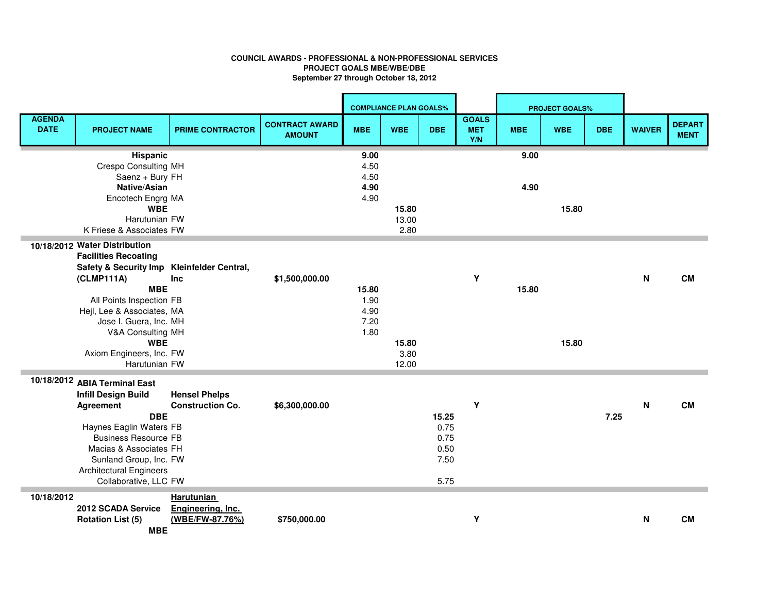### **COUNCIL AWARDS - PROFESSIONAL & NON-PROFESSIONAL SERVICESPROJECT GOALS MBE/WBE/DBESeptember 27 through October 18, 2012**

|                              |                                            |                                                 |                                        | <b>COMPLIANCE PLAN GOALS%</b> |               |            | <b>PROJECT GOALS%</b>             |            |            |            |                           |                              |
|------------------------------|--------------------------------------------|-------------------------------------------------|----------------------------------------|-------------------------------|---------------|------------|-----------------------------------|------------|------------|------------|---------------------------|------------------------------|
| <b>AGENDA</b><br><b>DATE</b> | <b>PROJECT NAME</b>                        | <b>PRIME CONTRACTOR</b>                         | <b>CONTRACT AWARD</b><br><b>AMOUNT</b> | <b>MBE</b>                    | <b>WBE</b>    | <b>DBE</b> | <b>GOALS</b><br><b>MET</b><br>Y/N | <b>MBE</b> | <b>WBE</b> | <b>DBE</b> | <b>WAIVER</b>             | <b>DEPART</b><br><b>MENT</b> |
|                              | Hispanic                                   |                                                 |                                        | 9.00                          |               |            |                                   | 9.00       |            |            |                           |                              |
|                              | <b>Crespo Consulting MH</b>                |                                                 |                                        | 4.50                          |               |            |                                   |            |            |            |                           |                              |
|                              | Saenz + Bury FH                            |                                                 |                                        | 4.50                          |               |            |                                   |            |            |            |                           |                              |
|                              | Native/Asian                               |                                                 |                                        | 4.90                          |               |            |                                   | 4.90       |            |            |                           |                              |
|                              | Encotech Engrg MA                          |                                                 |                                        | 4.90                          |               |            |                                   |            |            |            |                           |                              |
|                              | <b>WBE</b>                                 |                                                 |                                        |                               | 15.80         |            |                                   |            | 15.80      |            |                           |                              |
|                              | Harutunian FW<br>K Friese & Associates FW  |                                                 |                                        |                               | 13.00<br>2.80 |            |                                   |            |            |            |                           |                              |
|                              |                                            |                                                 |                                        |                               |               |            |                                   |            |            |            |                           |                              |
|                              | 10/18/2012 Water Distribution              |                                                 |                                        |                               |               |            |                                   |            |            |            |                           |                              |
|                              | <b>Facilities Recoating</b>                |                                                 |                                        |                               |               |            |                                   |            |            |            |                           |                              |
|                              | Safety & Security Imp Kleinfelder Central, |                                                 |                                        |                               |               |            |                                   |            |            |            |                           |                              |
|                              | (CLMP111A)                                 | Inc                                             | \$1,500,000.00                         |                               |               |            | Y                                 |            |            |            | N                         | <b>CM</b>                    |
|                              | <b>MBE</b><br>All Points Inspection FB     |                                                 |                                        | 15.80<br>1.90                 |               |            |                                   | 15.80      |            |            |                           |                              |
|                              | Hejl, Lee & Associates, MA                 |                                                 |                                        | 4.90                          |               |            |                                   |            |            |            |                           |                              |
|                              | Jose I. Guera, Inc. MH                     |                                                 |                                        | 7.20                          |               |            |                                   |            |            |            |                           |                              |
|                              | V&A Consulting MH                          |                                                 |                                        | 1.80                          |               |            |                                   |            |            |            |                           |                              |
|                              | <b>WBE</b>                                 |                                                 |                                        |                               | 15.80         |            |                                   |            | 15.80      |            |                           |                              |
|                              | Axiom Engineers, Inc. FW                   |                                                 |                                        |                               | 3.80          |            |                                   |            |            |            |                           |                              |
|                              | Harutunian FW                              |                                                 |                                        |                               | 12.00         |            |                                   |            |            |            |                           |                              |
| 10/18/2012                   | <b>ABIA Terminal East</b>                  |                                                 |                                        |                               |               |            |                                   |            |            |            |                           |                              |
|                              |                                            |                                                 |                                        |                               |               |            |                                   |            |            |            |                           |                              |
|                              | <b>Infill Design Build</b><br>Agreement    | <b>Hensel Phelps</b><br><b>Construction Co.</b> | \$6,300,000.00                         |                               |               |            | Y                                 |            |            |            | $\boldsymbol{\mathsf{N}}$ | <b>CM</b>                    |
|                              | <b>DBE</b>                                 |                                                 |                                        |                               |               | 15.25      |                                   |            |            | 7.25       |                           |                              |
|                              | Haynes Eaglin Waters FB                    |                                                 |                                        |                               |               | 0.75       |                                   |            |            |            |                           |                              |
|                              | <b>Business Resource FB</b>                |                                                 |                                        |                               |               | 0.75       |                                   |            |            |            |                           |                              |
|                              | Macias & Associates FH                     |                                                 |                                        |                               |               | 0.50       |                                   |            |            |            |                           |                              |
|                              | Sunland Group, Inc. FW                     |                                                 |                                        |                               |               | 7.50       |                                   |            |            |            |                           |                              |
|                              | <b>Architectural Engineers</b>             |                                                 |                                        |                               |               |            |                                   |            |            |            |                           |                              |
|                              | Collaborative, LLC FW                      |                                                 |                                        |                               |               | 5.75       |                                   |            |            |            |                           |                              |
| 10/18/2012                   |                                            | Harutunian                                      |                                        |                               |               |            |                                   |            |            |            |                           |                              |
|                              | 2012 SCADA Service                         | Engineering, Inc.                               |                                        |                               |               |            |                                   |            |            |            |                           |                              |
|                              | <b>Rotation List (5)</b>                   | (WBE/FW-87.76%)                                 | \$750,000.00                           |                               |               |            | Y                                 |            |            |            | Ν                         | <b>CM</b>                    |

**MBE**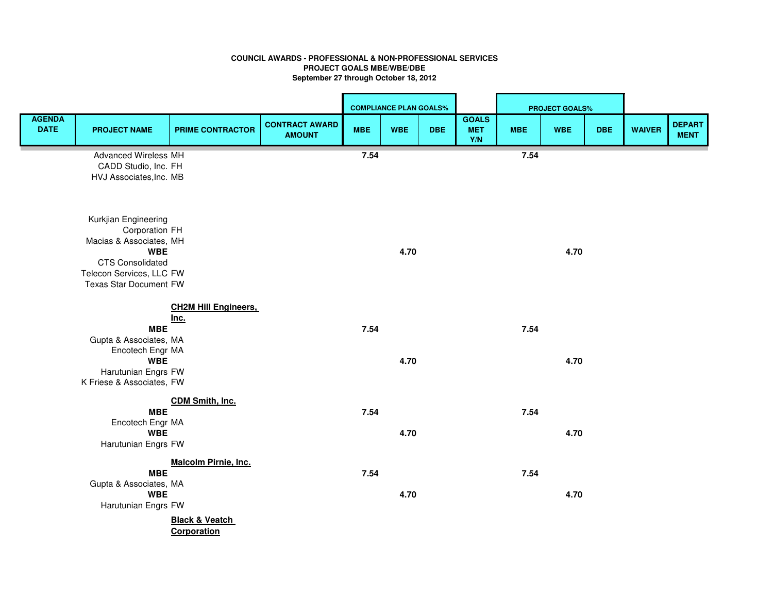### **PROJECT GOALS MBE/WBE/DBE September 27 through October 18, 2012COUNCIL AWARDS - PROFESSIONAL & NON-PROFESSIONAL SERVICES**

|                              |                               |                                     |                                        | <b>COMPLIANCE PLAN GOALS%</b> |            |            |                                   | <b>PROJECT GOALS%</b> |            |            |               |                              |
|------------------------------|-------------------------------|-------------------------------------|----------------------------------------|-------------------------------|------------|------------|-----------------------------------|-----------------------|------------|------------|---------------|------------------------------|
| <b>AGENDA</b><br><b>DATE</b> | <b>PROJECT NAME</b>           | <b>PRIME CONTRACTOR</b>             | <b>CONTRACT AWARD</b><br><b>AMOUNT</b> | <b>MBE</b>                    | <b>WBE</b> | <b>DBE</b> | <b>GOALS</b><br><b>MET</b><br>Y/N | <b>MBE</b>            | <b>WBE</b> | <b>DBE</b> | <b>WAIVER</b> | <b>DEPART</b><br><b>MENT</b> |
|                              | <b>Advanced Wireless MH</b>   |                                     |                                        | 7.54                          |            |            |                                   | 7.54                  |            |            |               |                              |
|                              | CADD Studio, Inc. FH          |                                     |                                        |                               |            |            |                                   |                       |            |            |               |                              |
|                              | HVJ Associates, Inc. MB       |                                     |                                        |                               |            |            |                                   |                       |            |            |               |                              |
|                              | Kurkjian Engineering          |                                     |                                        |                               |            |            |                                   |                       |            |            |               |                              |
|                              | Corporation FH                |                                     |                                        |                               |            |            |                                   |                       |            |            |               |                              |
|                              | Macias & Associates, MH       |                                     |                                        |                               |            |            |                                   |                       |            |            |               |                              |
|                              | <b>WBE</b>                    |                                     |                                        |                               | 4.70       |            |                                   |                       | 4.70       |            |               |                              |
|                              | <b>CTS Consolidated</b>       |                                     |                                        |                               |            |            |                                   |                       |            |            |               |                              |
|                              | Telecon Services, LLC FW      |                                     |                                        |                               |            |            |                                   |                       |            |            |               |                              |
|                              | <b>Texas Star Document FW</b> |                                     |                                        |                               |            |            |                                   |                       |            |            |               |                              |
|                              |                               | <b>CH2M Hill Engineers,</b><br>Inc. |                                        |                               |            |            |                                   |                       |            |            |               |                              |
|                              | <b>MBE</b>                    |                                     |                                        | 7.54                          |            |            |                                   | 7.54                  |            |            |               |                              |
|                              | Gupta & Associates, MA        |                                     |                                        |                               |            |            |                                   |                       |            |            |               |                              |
|                              | Encotech Engr MA              |                                     |                                        |                               |            |            |                                   |                       |            |            |               |                              |
|                              | <b>WBE</b>                    |                                     |                                        |                               | 4.70       |            |                                   |                       | 4.70       |            |               |                              |
|                              | Harutunian Engrs FW           |                                     |                                        |                               |            |            |                                   |                       |            |            |               |                              |
|                              | K Friese & Associates, FW     |                                     |                                        |                               |            |            |                                   |                       |            |            |               |                              |
|                              |                               | <b>CDM Smith, Inc.</b>              |                                        |                               |            |            |                                   |                       |            |            |               |                              |
|                              | <b>MBE</b>                    |                                     |                                        | 7.54                          |            |            |                                   | 7.54                  |            |            |               |                              |
|                              | Encotech Engr MA              |                                     |                                        |                               |            |            |                                   |                       |            |            |               |                              |
|                              | <b>WBE</b>                    |                                     |                                        |                               | 4.70       |            |                                   |                       | 4.70       |            |               |                              |
|                              | Harutunian Engrs FW           |                                     |                                        |                               |            |            |                                   |                       |            |            |               |                              |
|                              |                               | <b>Malcolm Pirnie, Inc.</b>         |                                        |                               |            |            |                                   |                       |            |            |               |                              |
|                              | <b>MBE</b>                    |                                     |                                        | 7.54                          |            |            |                                   | 7.54                  |            |            |               |                              |
|                              | Gupta & Associates, MA        |                                     |                                        |                               |            |            |                                   |                       |            |            |               |                              |
|                              | <b>WBE</b>                    |                                     |                                        |                               | 4.70       |            |                                   |                       | 4.70       |            |               |                              |
|                              | Harutunian Engrs FW           |                                     |                                        |                               |            |            |                                   |                       |            |            |               |                              |
|                              |                               | <b>Black &amp; Veatch</b>           |                                        |                               |            |            |                                   |                       |            |            |               |                              |
|                              |                               | Corporation                         |                                        |                               |            |            |                                   |                       |            |            |               |                              |